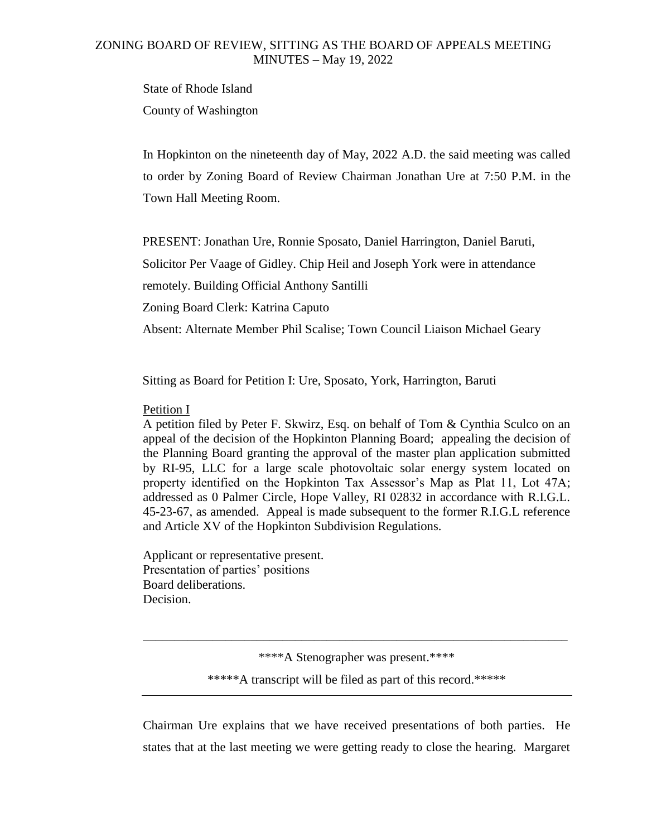## ZONING BOARD OF REVIEW, SITTING AS THE BOARD OF APPEALS MEETING MINUTES – May 19, 2022

State of Rhode Island County of Washington

In Hopkinton on the nineteenth day of May, 2022 A.D. the said meeting was called to order by Zoning Board of Review Chairman Jonathan Ure at 7:50 P.M. in the Town Hall Meeting Room.

PRESENT: Jonathan Ure, Ronnie Sposato, Daniel Harrington, Daniel Baruti,

Solicitor Per Vaage of Gidley. Chip Heil and Joseph York were in attendance

remotely. Building Official Anthony Santilli

Zoning Board Clerk: Katrina Caputo

Absent: Alternate Member Phil Scalise; Town Council Liaison Michael Geary

Sitting as Board for Petition I: Ure, Sposato, York, Harrington, Baruti

## Petition I

A petition filed by Peter F. Skwirz, Esq. on behalf of Tom & Cynthia Sculco on an appeal of the decision of the Hopkinton Planning Board; appealing the decision of the Planning Board granting the approval of the master plan application submitted by RI-95, LLC for a large scale photovoltaic solar energy system located on property identified on the Hopkinton Tax Assessor's Map as Plat 11, Lot 47A; addressed as 0 Palmer Circle, Hope Valley, RI 02832 in accordance with R.I.G.L. 45-23-67, as amended. Appeal is made subsequent to the former R.I.G.L reference and Article XV of the Hopkinton Subdivision Regulations.

Applicant or representative present. Presentation of parties' positions Board deliberations. Decision.

\*\*\*\*A Stenographer was present.\*\*\*\*

\_\_\_\_\_\_\_\_\_\_\_\_\_\_\_\_\_\_\_\_\_\_\_\_\_\_\_\_\_\_\_\_\_\_\_\_\_\_\_\_\_\_\_\_\_\_\_\_\_\_\_\_\_\_\_\_\_\_\_\_\_\_\_\_\_\_\_

\*\*\*\*\*A transcript will be filed as part of this record.\*\*\*\*\*

Chairman Ure explains that we have received presentations of both parties. He states that at the last meeting we were getting ready to close the hearing. Margaret